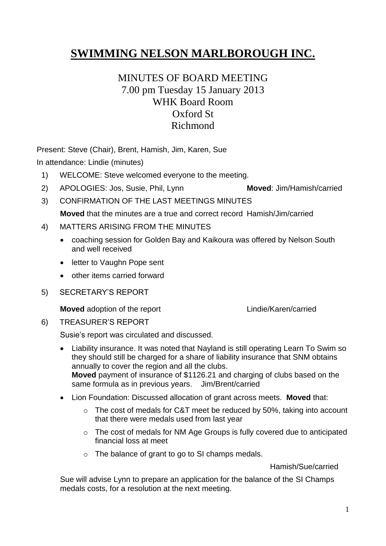# **SWIMMING NELSON MARLBOROUGH INC.**

# MINUTES OF BOARD MEETING 7.00 pm Tuesday 15 January 2013 WHK Board Room Oxford St Richmond

Present: Steve (Chair), Brent, Hamish, Jim, Karen, Sue

In attendance: Lindie (minutes)

- 1) WELCOME: Steve welcomed everyone to the meeting.
- 2) APOLOGIES: Jos, Susie, Phil, Lynn **Moved**: Jim/Hamish/carried
- 3) CONFIRMATION OF THE LAST MEETINGS MINUTES **Moved** that the minutes are a true and correct record Hamish/Jim/carried
- 4) MATTERS ARISING FROM THE MINUTES
	- coaching session for Golden Bay and Kaikoura was offered by Nelson South and well received
	- letter to Vaughn Pope sent
	- other items carried forward
- 5) SECRETARY'S REPORT

**Moved** adoption of the report **Lindie/Karen/carried** 

6) TREASURER'S REPORT

Susie's report was circulated and discussed.

- Liability insurance. It was noted that Nayland is still operating Learn To Swim so they should still be charged for a share of liability insurance that SNM obtains annually to cover the region and all the clubs. **Moved** payment of insurance of \$1126.21 and charging of clubs based on the same formula as in previous years. Jim/Brent/carried
- Lion Foundation: Discussed allocation of grant across meets. **Moved** that:
	- o The cost of medals for C&T meet be reduced by 50%, taking into account that there were medals used from last year
	- o The cost of medals for NM Age Groups is fully covered due to anticipated financial loss at meet
	- o The balance of grant to go to SI champs medals.

Hamish/Sue/carried

Sue will advise Lynn to prepare an application for the balance of the SI Champs medals costs, for a resolution at the next meeting.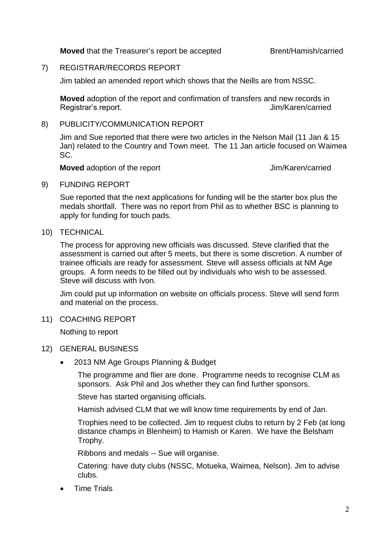**Moved** that the Treasurer's report be accepted Brent/Hamish/carried

#### 7) REGISTRAR/RECORDS REPORT

Jim tabled an amended report which shows that the Neills are from NSSC.

**Moved** adoption of the report and confirmation of transfers and new records in Registrar's report. The contract of the contract of the set of the set of the set of the set of the set of the set of the set of the set of the set of the set of the set of the set of the set of the set of the set of the s

#### 8) PUBLICITY/COMMUNICATION REPORT

Jim and Sue reported that there were two articles in the Nelson Mail (11 Jan & 15 Jan) related to the Country and Town meet. The 11 Jan article focused on Waimea SC.

**Moved** adoption of the report **IV** The Section 1 Moved adoption of the report

9) FUNDING REPORT

Sue reported that the next applications for funding will be the starter box plus the medals shortfall. There was no report from Phil as to whether BSC is planning to apply for funding for touch pads.

10) TECHNICAL

The process for approving new officials was discussed. Steve clarified that the assessment is carried out after 5 meets, but there is some discretion. A number of trainee officials are ready for assessment. Steve will assess officials at NM Age groups. A form needs to be filled out by individuals who wish to be assessed. Steve will discuss with Ivon.

Jim could put up information on website on officials process. Steve will send form and material on the process.

11) COACHING REPORT

Nothing to report

#### 12) GENERAL BUSINESS

2013 NM Age Groups Planning & Budget

The programme and flier are done. Programme needs to recognise CLM as sponsors. Ask Phil and Jos whether they can find further sponsors.

Steve has started organising officials.

Hamish advised CLM that we will know time requirements by end of Jan.

Trophies need to be collected. Jim to request clubs to return by 2 Feb (at long distance champs in Blenheim) to Hamish or Karen. We have the Belsham Trophy.

Ribbons and medals -- Sue will organise.

Catering: have duty clubs (NSSC, Motueka, Waimea, Nelson). Jim to advise clubs.

Time Trials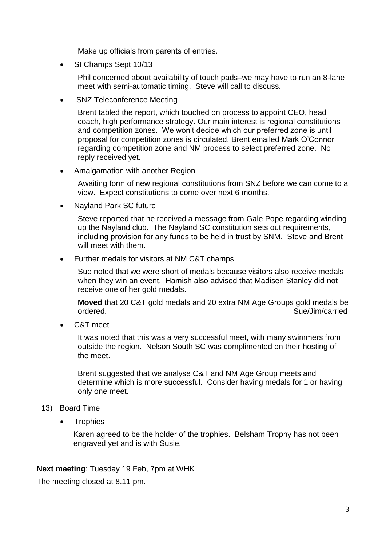Make up officials from parents of entries.

• SI Champs Sept 10/13

Phil concerned about availability of touch pads–we may have to run an 8-lane meet with semi-automatic timing. Steve will call to discuss.

SNZ Teleconference Meeting

Brent tabled the report, which touched on process to appoint CEO, head coach, high performance strategy. Our main interest is regional constitutions and competition zones. We won't decide which our preferred zone is until proposal for competition zones is circulated. Brent emailed Mark O'Connor regarding competition zone and NM process to select preferred zone. No reply received yet.

Amalgamation with another Region

Awaiting form of new regional constitutions from SNZ before we can come to a view. Expect constitutions to come over next 6 months.

Nayland Park SC future

Steve reported that he received a message from Gale Pope regarding winding up the Nayland club. The Nayland SC constitution sets out requirements, including provision for any funds to be held in trust by SNM. Steve and Brent will meet with them.

Further medals for visitors at NM C&T champs

Sue noted that we were short of medals because visitors also receive medals when they win an event. Hamish also advised that Madisen Stanley did not receive one of her gold medals.

**Moved** that 20 C&T gold medals and 20 extra NM Age Groups gold medals be ordered. Sue/Jim/carried

C&T meet

It was noted that this was a very successful meet, with many swimmers from outside the region. Nelson South SC was complimented on their hosting of the meet.

Brent suggested that we analyse C&T and NM Age Group meets and determine which is more successful. Consider having medals for 1 or having only one meet.

### 13) Board Time

**Trophies** 

Karen agreed to be the holder of the trophies. Belsham Trophy has not been engraved yet and is with Susie.

**Next meeting**: Tuesday 19 Feb, 7pm at WHK

The meeting closed at 8.11 pm.